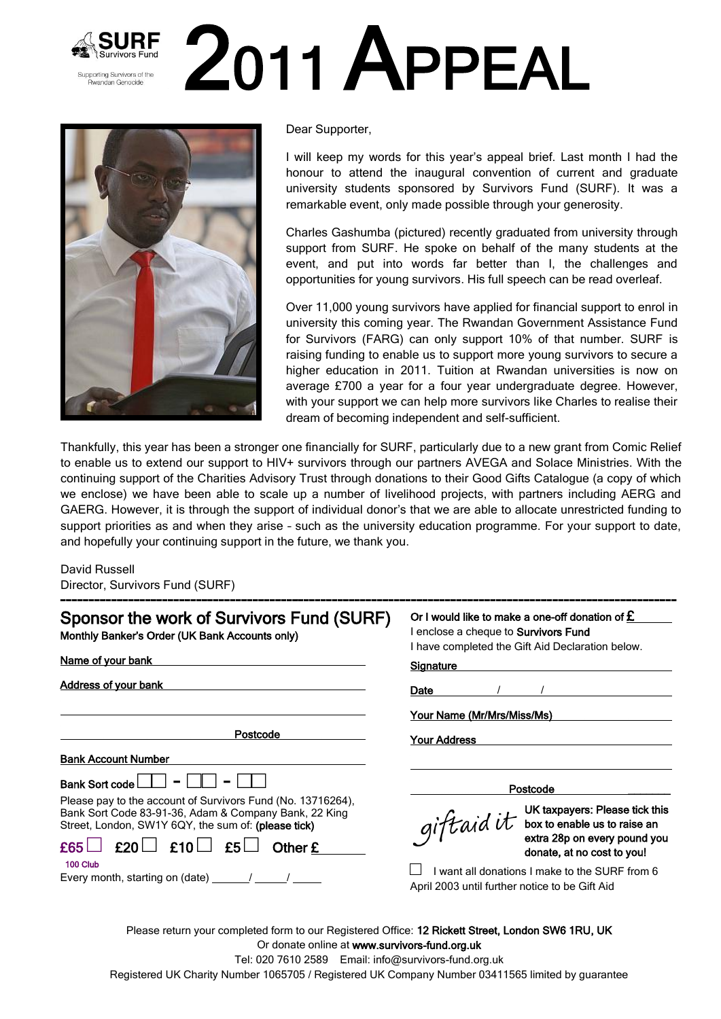## 2011 APPEAL Supporting Survivors of the **Rwandan Genocide**



Dear Supporter,

I will keep my words for this year's appeal brief. Last month I had the honour to attend the inaugural convention of current and graduate university students sponsored by Survivors Fund (SURF). It was a remarkable event, only made possible through your generosity.

Charles Gashumba (pictured) recently graduated from university through support from SURF. He spoke on behalf of the many students at the event, and put into words far better than I, the challenges and opportunities for young survivors. His full speech can be read overleaf.

Over 11,000 young survivors have applied for financial support to enrol in university this coming year. The Rwandan Government Assistance Fund for Survivors (FARG) can only support 10% of that number. SURF is raising funding to enable us to support more young survivors to secure a higher education in 2011. Tuition at Rwandan universities is now on average £700 a year for a four year undergraduate degree. However, with your support we can help more survivors like Charles to realise their dream of becoming independent and self-sufficient.

Thankfully, this year has been a stronger one financially for SURF, particularly due to a new grant from Comic Relief to enable us to extend our support to HIV+ survivors through our partners AVEGA and Solace Ministries. With the continuing support of the Charities Advisory Trust through donations to their Good Gifts Catalogue (a copy of which we enclose) we have been able to scale up a number of livelihood projects, with partners including AERG and GAERG. However, it is through the support of individual donor's that we are able to allocate unrestricted funding to support priorities as and when they arise – such as the university education programme. For your support to date, and hopefully your continuing support in the future, we thank you.

David Russell Director, Survivors Fund (SURF)

| Sponsor the work of Survivors Fund (SURF)<br>Monthly Banker's Order (UK Bank Accounts only)                                                                                 | Or I would like to make a one-off donation of $E$<br>I enclose a cheque to <b>Survivors Fund</b><br>I have completed the Gift Aid Declaration below. |
|-----------------------------------------------------------------------------------------------------------------------------------------------------------------------------|------------------------------------------------------------------------------------------------------------------------------------------------------|
| Name of your bank                                                                                                                                                           | <b>Signature</b>                                                                                                                                     |
| Address of your bank                                                                                                                                                        | Date                                                                                                                                                 |
|                                                                                                                                                                             | Your Name (Mr/Mrs/Miss/Ms)                                                                                                                           |
| Postcode                                                                                                                                                                    | <b>Your Address</b>                                                                                                                                  |
| <b>Bank Account Number</b>                                                                                                                                                  |                                                                                                                                                      |
| Bank Sort code L                                                                                                                                                            | Postcode                                                                                                                                             |
| Please pay to the account of Survivors Fund (No. 13716264),<br>Bank Sort Code 83-91-36, Adam & Company Bank, 22 King<br>Street, London, SW1Y 6QY, the sum of: (please tick) | giftaid it UK taxpayers: Please tick this                                                                                                            |
| $\mathsf{f65} \square \; \mathsf{f20} \square \; \mathsf{f10} \square \; \mathsf{f5} \square$<br>Other £                                                                    | donate, at no cost to you!                                                                                                                           |
| 100 Club<br>Every month, starting on (date) ______/ _____/                                                                                                                  | I want all donations I make to the SURF from 6<br>April 2003 until further notice to be Gift Aid                                                     |

Please return your completed form to our Registered Office: 12 Rickett Street, London SW6 1RU, UK Or donate online at www.survivors-fund.org.uk Tel: 020 7610 2589 Email: info@survivors-fund.org.uk

Registered UK Charity Number 1065705 / Registered UK Company Number 03411565 limited by guarantee